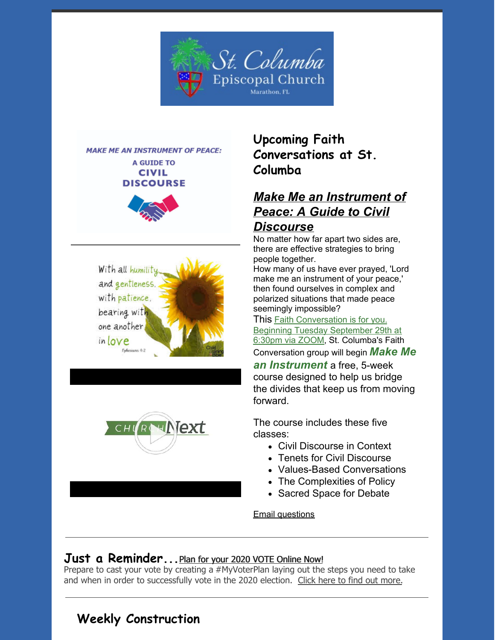







**Upcoming Faith Conversations at St. Columba**

## *Make Me an [Instrument](https://www.churchnext.tv/library/instruments-of-peace-a-guide-to-civil-discourse/109671/about/) of Peace: A Guide to Civil*

#### *Discourse*

No matter how far apart two sides are, there are effective strategies to bring people together.

How many of us have ever prayed, 'Lord make me an instrument of your peace,' then found ourselves in complex and polarized situations that made peace seemingly impossible?

This Faith [Conversation](https://us02web.zoom.us/meeting/register/uJwkdeyqpjgqWy7lTFfM6DYNDBIQ6HTIUA) is for you. Beginning Tuesday [September](https://us02web.zoom.us/meeting/register/uJwkdeyqpjgqWy7lTFfM6DYNDBIQ6HTIUA) 29th at 6:30pm via ZOOM, St. Columba's Faith

Conversation group will begin *Make Me*

*an Instrument* a free, 5-week course designed to help us bridge the divides that keep us from moving forward.

The course includes these five classes:

- Civil Discourse in Context
- Tenets for Civil Discourse
- Values-Based Conversations
- The Complexities of Policy
- Sacred Space for Debate

Email [questions](http://stcolumbamarathon.office@gmail.com)

### **Just a Reminder...**Plan for your <sup>2020</sup> VOTE [Online](https://episcopalchurch.org/posts/ogr/plan-your-vote) Now!

Prepare to cast your vote by creating a [#MyVoterPlan](https://www.nbcnews.com/specials/plan-your-vote-state-by-state-guide-voting-by-mail-early-in-person-voting-election/) laying out the steps you need to take and when in order to successfully vote in the 2020 election. Click here to find out [more.](https://www.nbcnews.com/specials/plan-your-vote-state-by-state-guide-voting-by-mail-early-in-person-voting-election/)

## **Weekly Construction**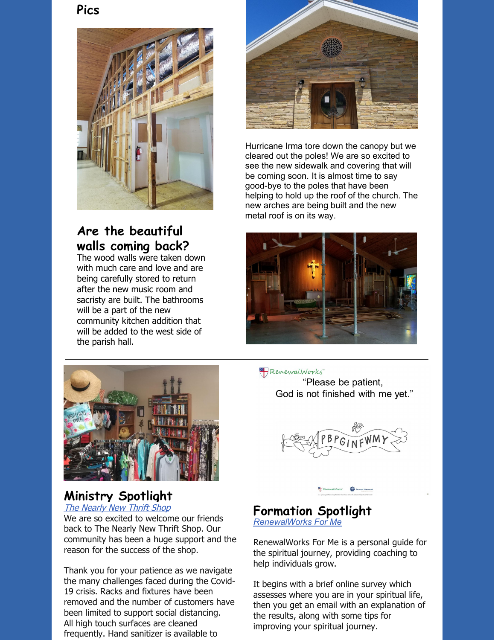**Pics**



## **Are the beautiful walls coming back?**

The wood walls were taken down with much care and love and are being carefully stored to return after the new music room and sacristy are built. The bathrooms will be a part of the new community kitchen addition that will be added to the west side of the parish hall.



Hurricane Irma tore down the canopy but we cleared out the poles! We are so excited to see the new sidewalk and covering that will be coming soon. It is almost time to say good-bye to the poles that have been helping to hold up the roof of the church. The new arches are being built and the new metal roof is on its way.





# **Ministry Spotlight**

The [Nearly](https://www.facebook.com/StColumbaThriftShop) New Thrift Shop

We are so excited to welcome our friends back to The Nearly New Thrift Shop. Our community has been a huge support and the reason for the success of the shop.

Thank you for your patience as we navigate the many challenges faced during the Covid-19 crisis. Racks and fixtures have been removed and the number of customers have been limited to support social distancing. All high touch surfaces are cleaned frequently. Hand sanitizer is available to

RenewalWorks "Please be patient, God is not finished with me yet."



#### **Formation Spotlight** *[RenewalWorks](https://renewalworks.org/resources/rw4me/) For Me*

[RenewalWorks](https://renewalworks.org/resources/rw4me/) For Me is a personal guide for the spiritual journey, providing coaching to help individuals grow.

It begins with a brief online survey which assesses where you are in your spiritual life, then you get an email with an explanation of the results, along with some tips for improving your spiritual journey.